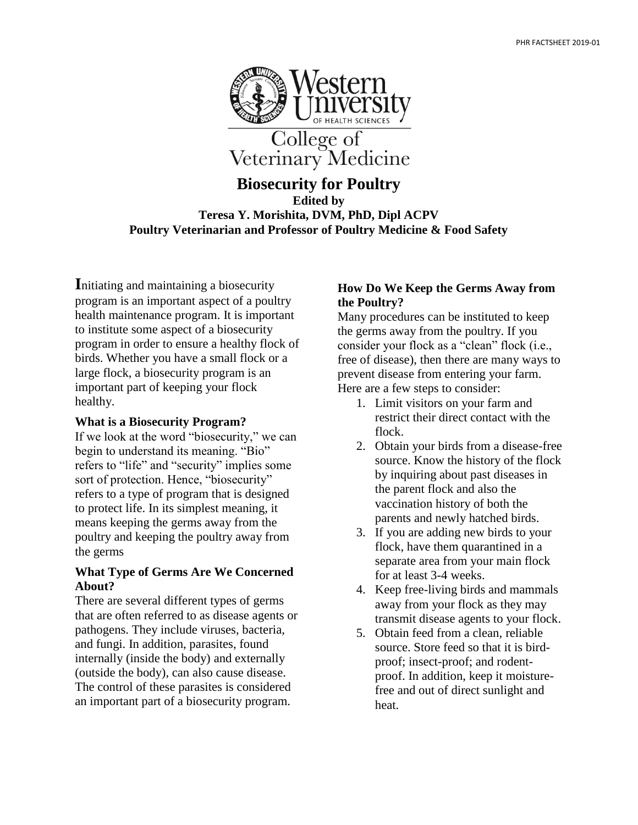

**Biosecurity for Poultry Edited by Teresa Y. Morishita, DVM, PhD, Dipl ACPV Poultry Veterinarian and Professor of Poultry Medicine & Food Safety**

**I**nitiating and maintaining a biosecurity program is an important aspect of a poultry health maintenance program. It is important to institute some aspect of a biosecurity program in order to ensure a healthy flock of birds. Whether you have a small flock or a large flock, a biosecurity program is an important part of keeping your flock healthy.

## **What is a Biosecurity Program?**

If we look at the word "biosecurity," we can begin to understand its meaning. "Bio" refers to "life" and "security" implies some sort of protection. Hence, "biosecurity" refers to a type of program that is designed to protect life. In its simplest meaning, it means keeping the germs away from the poultry and keeping the poultry away from the germs

## **What Type of Germs Are We Concerned About?**

There are several different types of germs that are often referred to as disease agents or pathogens. They include viruses, bacteria, and fungi. In addition, parasites, found internally (inside the body) and externally (outside the body), can also cause disease. The control of these parasites is considered an important part of a biosecurity program.

## **How Do We Keep the Germs Away from the Poultry?**

Many procedures can be instituted to keep the germs away from the poultry. If you consider your flock as a "clean" flock (i.e., free of disease), then there are many ways to prevent disease from entering your farm. Here are a few steps to consider:

- 1. Limit visitors on your farm and restrict their direct contact with the flock.
- 2. Obtain your birds from a disease-free source. Know the history of the flock by inquiring about past diseases in the parent flock and also the vaccination history of both the parents and newly hatched birds.
- 3. If you are adding new birds to your flock, have them quarantined in a separate area from your main flock for at least 3-4 weeks.
- 4. Keep free-living birds and mammals away from your flock as they may transmit disease agents to your flock.
- 5. Obtain feed from a clean, reliable source. Store feed so that it is birdproof; insect-proof; and rodentproof. In addition, keep it moisturefree and out of direct sunlight and heat.